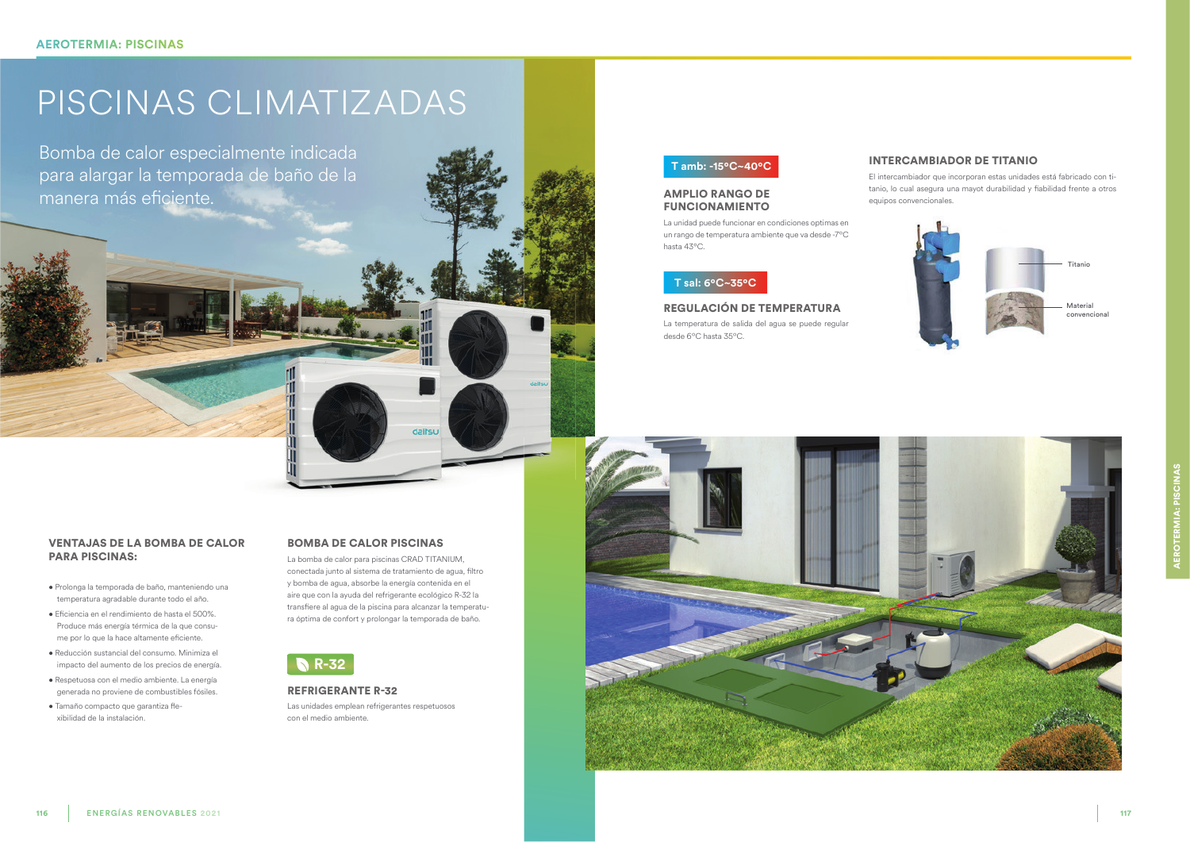# PISCINAS CLIMATIZADAS

Bomba de calor especialmente indicada para alargar la temporada de baño de la manera más eficiente.

## **VENTAJAS DE LA BOMBA DE CALOR PARA PISCINAS:**

- · Prolonga la temporada de baño, manteniendo una temperatura agradable durante todo el año.
- · Eficiencia en el rendimiento de hasta el 500%. Produce más energía térmica de la que consume por lo que la hace altamente eficiente.
- · Reducción sustancial del consumo. Minimiza el impacto del aumento de los precios de energía.
- · Respetuosa con el medio ambiente. La energía generada no proviene de combustibles fósiles.

**ENERGÍAS RENOVABLES 2021** 

· Tamaño compacto que garantiza flexibilidad de la instalación.

## **BOMBA DE CALOR PISCINAS**

La bomba de calor para piscinas CRAD TITANIUM, conectada junto al sistema de tratamiento de agua, filtro y bomba de agua, absorbe la energía contenida en el aire que con la ayuda del refrigerante ecológico R-32 la transfiere al agua de la piscina para alcanzar la temperatura óptima de confort y prolongar la temporada de baño.

dailsu



### **REFRIGERANTE R-32**

Las unidades emplean refrigerantes respetuosos con el medio ambiente.

## T amb: -15°C~40°C

## **AMPLIO RANGO DE FUNCIONAMIENTO**

La unidad puede funcionar en condiciones optimas en un rango de temperatura ambiente que va desde -7°C hasta 43°C.

## T sal: 6°C~35°C

## REGULACIÓN DE TEMPERATURA

La temperatura de salida del agua se puede regular desde 6°C hasta 35°C.



## **INTERCAMBIADOR DE TITANIO**

El intercambiador que incorporan estas unidades está fabricado con titanio, lo cual asegura una mayot durabilidad y fiabilidad frente a otros equipos convencionales.